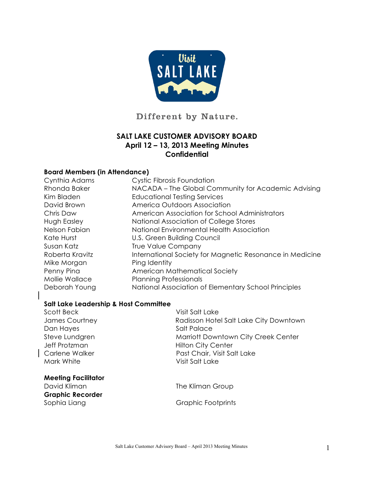

Different by Nature.

### **SALT LAKE CUSTOMER ADVISORY BOARD April 12 – 13, 2013 Meeting Minutes Confidential**

#### **Board Members (in Attendance)**

| Cynthia Adams   | <b>Cystic Fibrosis Foundation</b>                        |
|-----------------|----------------------------------------------------------|
| Rhonda Baker    | NACADA – The Global Community for Academic Advising      |
| Kim Bladen      | <b>Educational Testing Services</b>                      |
| David Brown     | America Outdoors Association                             |
| Chris Daw       | American Association for School Administrators           |
| Hugh Easley     | National Association of College Stores                   |
| Nelson Fabian   | National Environmental Health Association                |
| Kate Hurst      | U.S. Green Building Council                              |
| Susan Katz      | <b>True Value Company</b>                                |
| Roberta Kravitz | International Society for Magnetic Resonance in Medicine |
| Mike Morgan     | Ping Identity                                            |
| Penny Pina      | American Mathematical Society                            |
| Mollie Wallace  | <b>Planning Professionals</b>                            |
| Deborah Young   | National Association of Elementary School Principles     |

#### **Salt Lake Leadership & Host Committee**

| Scott Beck                 | Visit Salt Lake                        |
|----------------------------|----------------------------------------|
| James Courtney             | Radisson Hotel Salt Lake City Downtown |
| Dan Hayes                  | Salt Palace                            |
| Steve Lundgren             | Marriott Downtown City Creek Center    |
| Jeff Protzman              | <b>Hilton City Center</b>              |
| Carlene Walker             | Past Chair, Visit Salt Lake            |
| Mark White                 | Visit Salt Lake                        |
| <b>Meeting Facilitator</b> |                                        |
| David Kliman               | The Kliman Group                       |
| <b>Graphic Recorder</b>    |                                        |
| Sophia Liang               | Graphic Footprints                     |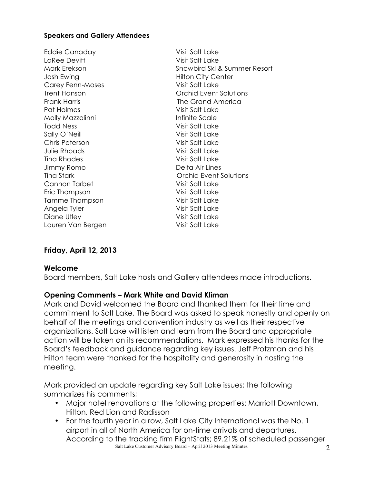#### **Speakers and Gallery Attendees**

Eddie Canaday Visit Salt Lake LaRee Devitt **Visit Salt Lake** Josh Ewing **Hilton City Center** Carey Fenn-Moses Visit Salt Lake Frank Harris **The Grand America** Pat Holmes Visit Salt Lake Molly Mazzolinni and a state infinite Scale Todd Ness Visit Salt Lake Sally O'Neill Visit Salt Lake Chris Peterson Visit Salt Lake Julie Rhoads Visit Salt Lake Tina Rhodes Visit Salt Lake Jimmy Romo Delta Air Lines Cannon Tarbet Visit Salt Lake Eric Thompson Visit Salt Lake Tamme Thompson Visit Salt Lake Angela Tyler Visit Salt Lake Diane Utley Nisit Salt Lake Lauren Van Bergen Visit Salt Lake

Mark Erekson Snowbird Ski & Summer Resort Trent Hanson Orchid Event Solutions Tina Stark Orchid Event Solutions

# **Friday, April 12, 2013**

### **Welcome**

Board members, Salt Lake hosts and Gallery attendees made introductions.

### **Opening Comments – Mark White and David Kliman**

Mark and David welcomed the Board and thanked them for their time and commitment to Salt Lake. The Board was asked to speak honestly and openly on behalf of the meetings and convention industry as well as their respective organizations. Salt Lake will listen and learn from the Board and appropriate action will be taken on its recommendations. Mark expressed his thanks for the Board's feedback and guidance regarding key issues. Jeff Protzman and his Hilton team were thanked for the hospitality and generosity in hosting the meeting.

Mark provided an update regarding key Salt Lake issues; the following summarizes his comments;

- Major hotel renovations at the following properties: Marriott Downtown, Hilton, Red Lion and Radisson
- Salt Lake Customer Advisory Board April 2013 Meeting Minutes 2 • For the fourth year in a row, Salt Lake City International was the No. 1 airport in all of North America for on-time arrivals and departures. According to the tracking firm FlightStats; 89.21% of scheduled passenger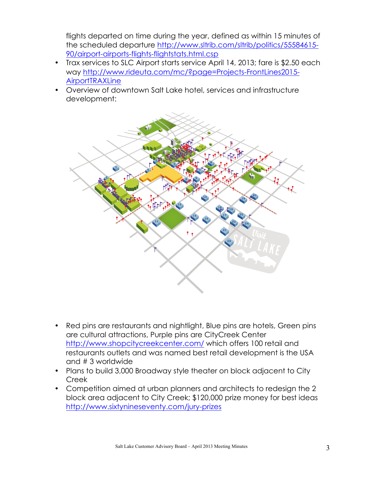flights departed on time during the year, defined as within 15 minutes of the scheduled departure http://www.sltrib.com/sltrib/politics/55584615- 90/airport-airports-flights-flightstats.html.csp

- Trax services to SLC Airport starts service April 14, 2013; fare is \$2.50 each way http://www.rideuta.com/mc/?page=Projects-FrontLines2015- **AirportTRAXLine**
- Overview of downtown Salt Lake hotel, services and infrastructure development:



- Red pins are restaurants and nightlight, Blue pins are hotels, Green pins are cultural attractions, Purple pins are CityCreek Center http://www.shopcitycreekcenter.com/ which offers 100 retail and restaurants outlets and was named best retail development is the USA and # 3 worldwide
- Plans to build 3,000 Broadway style theater on block adjacent to City Creek
- Competition aimed at urban planners and architects to redesign the 2 block area adjacent to City Creek; \$120,000 prize money for best ideas http://www.sixtynineseventy.com/jury-prizes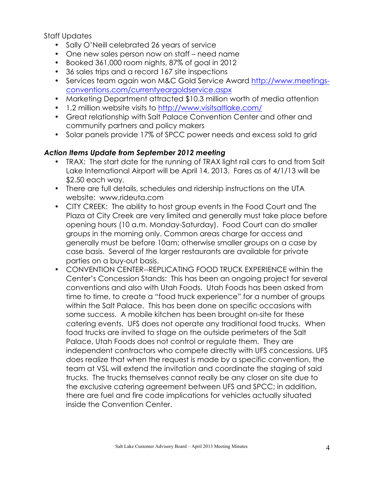Staff Updates

- Sally O'Neill celebrated 26 years of service
- One new sales person now on staff need name
- Booked 361,000 room nights, 87% of goal in 2012
- 36 sales trips and a record 167 site inspections
- Services team again won M&C Gold Service Award http://www.meetingsconventions.com/currentyeargoldservice.aspx
- Marketing Department attracted \$10.3 million worth of media attention
- 1,2 million website visits to http://www.visitsaltlake.com/
- Great relationship with Salt Palace Convention Center and other and community partners and policy makers
- Solar panels provide 17% of SPCC power needs and excess sold to grid

# *Action Items Update from September 2012 meeting*

- TRAX: The start date for the running of TRAX light rail cars to and from Salt Lake International Airport will be April 14, 2013. Fares as of 4/1/13 will be \$2.50 each way.
- There are full details, schedules and ridership instructions on the UTA website: www.rideuta.com
- CITY CREEK: The ability to host group events in the Food Court and The Plaza at City Creek are very limited and generally must take place before opening hours (10 a.m. Monday-Saturday). Food Court can do smaller groups in the morning only. Common areas charge for access and generally must be before 10am; otherwise smaller groups on a case by case basis. Several of the larger restaurants are available for private parties on a buy-out basis.
- CONVENTION CENTER--REPLICATING FOOD TRUCK EXPERIENCE within the Center's Concession Stands: This has been an ongoing project for several conventions and also with Utah Foods. Utah Foods has been asked from time to time, to create a "food truck experience" for a number of groups within the Salt Palace. This has been done on specific occasions with some success. A mobile kitchen has been brought on-site for these catering events. UFS does not operate any traditional food trucks. When food trucks are invited to stage on the outside perimeters of the Salt Palace, Utah Foods does not control or regulate them. They are independent contractors who compete directly with UFS concessions. UFS does realize that when the request is made by a specific convention, the team at VSL will extend the invitation and coordinate the staging of said trucks. The trucks themselves cannot really be any closer on site due to the exclusive catering agreement between UFS and SPCC; in addition, there are fuel and fire code implications for vehicles actually situated inside the Convention Center.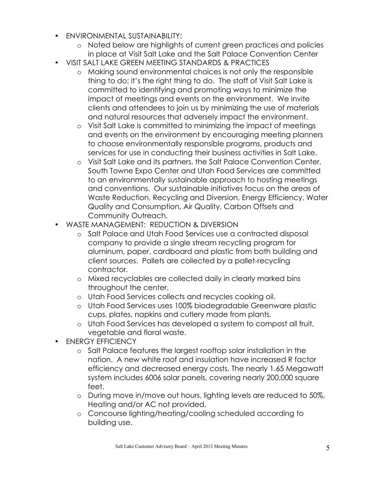- ENVIRONMENTAL SUSTAINABILITY:
	- o Noted below are highlights of current green practices and policies in place at Visit Salt Lake and the Salt Palace Convention Center
- VISIT SALT LAKE GREEN MEETING STANDARDS & PRACTICES
	- o Making sound environmental choices is not only the responsible thing to do; it's the right thing to do. The staff of Visit Salt Lake is committed to identifying and promoting ways to minimize the impact of meetings and events on the environment. We invite clients and attendees to join us by minimizing the use of materials and natural resources that adversely impact the environment.
	- o Visit Salt Lake is committed to minimizing the impact of meetings and events on the environment by encouraging meeting planners to choose environmentally responsible programs, products and services for use in conducting their business activities in Salt Lake.
	- o Visit Salt Lake and its partners, the Salt Palace Convention Center, South Towne Expo Center and Utah Food Services are committed to an environmentally sustainable approach to hosting meetings and conventions. Our sustainable initiatives focus on the areas of Waste Reduction, Recycling and Diversion, Energy Efficiency, Water Quality and Consumption, Air Quality, Carbon Offsets and Community Outreach.
- WASTE MANAGEMENT: REDUCTION & DIVERSION
	- o Salt Palace and Utah Food Services use a contracted disposal company to provide a single stream recycling program for aluminum, paper, cardboard and plastic from both building and client sources. Pallets are collected by a pallet-recycling contractor.
	- o Mixed recyclables are collected daily in clearly marked bins throughout the center.
	- o Utah Food Services collects and recycles cooking oil.
	- o Utah Food Services uses 100% biodegradable Greenware plastic cups, plates, napkins and cutlery made from plants.
	- o Utah Food Services has developed a system to compost all fruit, vegetable and floral waste.
- ENERGY EFFICIENCY
	- o Salt Palace features the largest rooftop solar installation in the nation. A new white roof and insulation have increased R factor efficiency and decreased energy costs. The nearly 1.65 Megawatt system includes 6006 solar panels, covering nearly 200,000 square feet.
	- o During move in/move out hours, lighting levels are reduced to 50%, Heating and/or AC not provided.
	- o Concourse lighting/heating/cooling scheduled according to building use.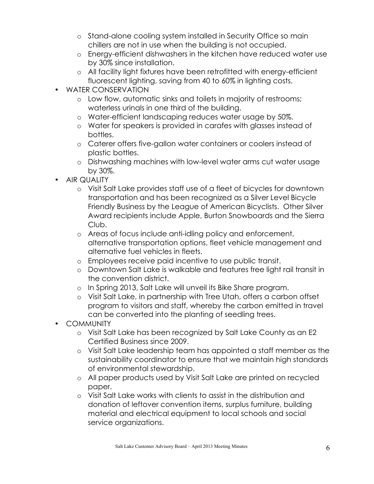- o Stand-alone cooling system installed in Security Office so main chillers are not in use when the building is not occupied.
- o Energy-efficient dishwashers in the kitchen have reduced water use by 30% since installation.
- o All facility light fixtures have been retrofitted with energy-efficient fluorescent lighting, saving from 40 to 60% in lighting costs.
- WATER CONSERVATION
	- o Low flow, automatic sinks and toilets in majority of restrooms; waterless urinals in one third of the building.
	- o Water-efficient landscaping reduces water usage by 50%.
	- o Water for speakers is provided in carafes with glasses instead of bottles.
	- o Caterer offers five-gallon water containers or coolers instead of plastic bottles.
	- o Dishwashing machines with low-level water arms cut water usage by 30%.
- AIR QUALITY
	- o Visit Salt Lake provides staff use of a fleet of bicycles for downtown transportation and has been recognized as a Silver Level Bicycle Friendly Business by the League of American Bicyclists. Other Silver Award recipients include Apple, Burton Snowboards and the Sierra Club.
	- o Areas of focus include anti-idling policy and enforcement, alternative transportation options, fleet vehicle management and alternative fuel vehicles in fleets.
	- o Employees receive paid incentive to use public transit.
	- o Downtown Salt Lake is walkable and features free light rail transit in the convention district.
	- o In Spring 2013, Salt Lake will unveil its Bike Share program.
	- o Visit Salt Lake, in partnership with Tree Utah, offers a carbon offset program to visitors and staff, whereby the carbon emitted in travel can be converted into the planting of seedling trees.
- COMMUNITY
	- o Visit Salt Lake has been recognized by Salt Lake County as an E2 Certified Business since 2009.
	- o Visit Salt Lake leadership team has appointed a staff member as the sustainability coordinator to ensure that we maintain high standards of environmental stewardship.
	- o All paper products used by Visit Salt Lake are printed on recycled paper.
	- o Visit Salt Lake works with clients to assist in the distribution and donation of leftover convention items, surplus furniture, building material and electrical equipment to local schools and social service organizations.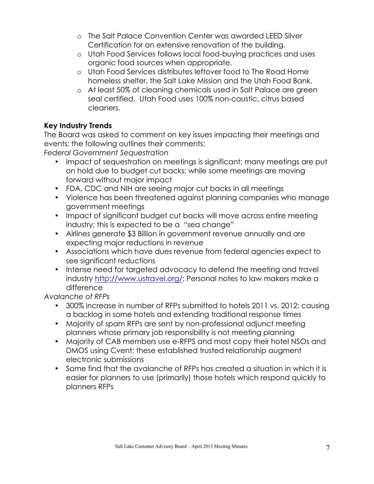- o The Salt Palace Convention Center was awarded LEED Silver Certification for an extensive renovation of the building.
- o Utah Food Services follows local food-buying practices and uses organic food sources when appropriate.
- o Utah Food Services distributes leftover food to The Road Home homeless shelter, the Salt Lake Mission and the Utah Food Bank.
- o At least 50% of cleaning chemicals used in Salt Palace are green seal certified. Utah Food uses 100% non-caustic, citrus based cleaners.

# **Key Industry Trends**

The Board was asked to comment on key issues impacting their meetings and events; the following outlines their comments:

*Federal Government Sequestration* 

- Impact of sequestration on meetings is significant; many meetings are put on hold due to budget cut backs; while some meetings are moving forward without major impact
- FDA, CDC and NIH are seeing major cut backs in all meetings
- Violence has been threatened against planning companies who manage government meetings
- Impact of significant budget cut backs will move across entire meeting industry; this is expected to be a "sea change"
- Airlines generate \$3 Billion in government revenue annually and are expecting major reductions in revenue
- Associations which have dues revenue from federal agencies expect to see significant reductions
- Intense need for targeted advocacy to defend the meeting and travel industry http://www.ustravel.org/; Personal notes to law makers make a difference

*Avalanche of RFPs*

- 300% increase in number of RFPs submitted to hotels 2011 vs. 2012; causing a backlog in some hotels and extending traditional response times
- Majority of spam RFPs are sent by non-professional adjunct meeting planners whose primary job responsibility is not meeting planning
- Majority of CAB members use e-RFPS and most copy their hotel NSOs and DMOS using Cvent; these established trusted relationship augment electronic submissions
- Some find that the avalanche of RFPs has created a situation in which it is easier for planners to use (primarily) those hotels which respond quickly to planners RFPs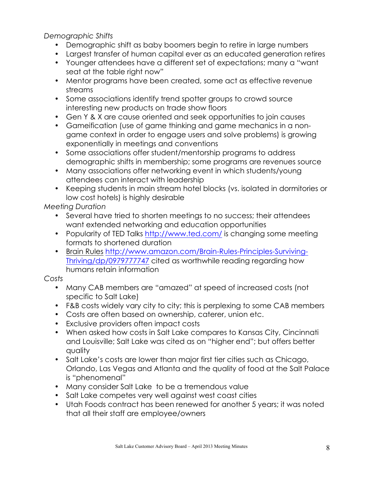*Demographic Shifts*

- Demographic shift as baby boomers begin to retire in large numbers
- Largest transfer of human capital ever as an educated generation retires
- Younger attendees have a different set of expectations; many a "want seat at the table right now"
- Mentor programs have been created, some act as effective revenue streams
- Some associations identify trend spotter groups to crowd source interesting new products on trade show floors
- Gen Y & X are cause oriented and seek opportunities to join causes
- Gameification (use of game thinking and game mechanics in a nongame context in order to engage users and solve problems) is growing exponentially in meetings and conventions
- Some associations offer student/mentorship programs to address demographic shifts in membership; some programs are revenues source
- Many associations offer networking event in which students/young attendees can interact with leadership
- Keeping students in main stream hotel blocks (vs. isolated in dormitories or low cost hotels) is highly desirable

*Meeting Duration*

- Several have tried to shorten meetings to no success; their attendees want extended networking and education opportunities
- Popularity of TED Talks http://www.ted.com/ is changing some meeting formats to shortened duration
- Brain Rules http://www.amazon.com/Brain-Rules-Principles-Surviving-Thriving/dp/0979777747 cited as worthwhile reading regarding how humans retain information

*Costs*

- Many CAB members are "amazed" at speed of increased costs (not specific to Salt Lake)
- F&B costs widely vary city to city; this is perplexing to some CAB members
- Costs are often based on ownership, caterer, union etc.
- Exclusive providers often impact costs
- When asked how costs in Salt Lake compares to Kansas City, Cincinnati and Louisville; Salt Lake was cited as on "higher end"; but offers better quality
- Salt Lake's costs are lower than major first tier cities such as Chicago, Orlando, Las Vegas and Atlanta and the quality of food at the Salt Palace is "phenomenal"
- Many consider Salt Lake to be a tremendous value
- Salt Lake competes very well against west coast cities
- Utah Foods contract has been renewed for another 5 years; it was noted that all their staff are employee/owners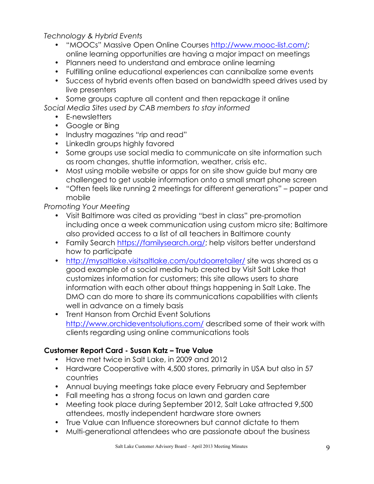*Technology & Hybrid Events*

- "MOOCs" Massive Open Online Courses http://www.mooc-list.com/; online learning opportunities are having a major impact on meetings
- Planners need to understand and embrace online learning
- Fulfilling online educational experiences can cannibalize some events
- Success of hybrid events often based on bandwidth speed drives used by live presenters
- Some groups capture all content and then repackage it online

*Social Media Sites used by CAB members to stay informed*

- E-newsletters
- Google or Bing
- Industry magazines "rip and read"
- LinkedIn groups highly favored
- Some groups use social media to communicate on site information such as room changes, shuttle information, weather, crisis etc.
- Most using mobile website or apps for on site show guide but many are challenged to get usable information onto a small smart phone screen
- "Often feels like running 2 meetings for different generations" paper and mobile

*Promoting Your Meeting*

- Visit Baltimore was cited as providing "best in class" pre-promotion including once a week communication using custom micro site; Baltimore also provided access to a list of all teachers in Baltimore county
- Family Search https://familysearch.org/; help visitors better understand how to participate
- http://mysaltlake.visitsaltlake.com/outdoorretailer/ site was shared as a good example of a social media hub created by Visit Salt Lake that customizes information for customers; this site allows users to share information with each other about things happening in Salt Lake. The DMO can do more to share its communications capabilities with clients well in advance on a timely basis
- Trent Hanson from Orchid Event Solutions http://www.orchideventsolutions.com/ described some of their work with clients regarding using online communications tools

# **Customer Report Card - Susan Katz – True Value**

- Have met twice in Salt Lake, in 2009 and 2012
- Hardware Cooperative with 4,500 stores, primarily in USA but also in 57 countries
- Annual buying meetings take place every February and September
- Fall meeting has a strong focus on lawn and garden care
- Meeting took place during September 2012, Salt Lake attracted 9,500 attendees, mostly independent hardware store owners
- True Value can Influence storeowners but cannot dictate to them
- Multi-generational attendees who are passionate about the business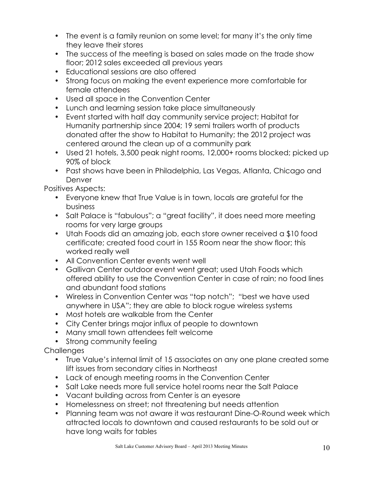- The event is a family reunion on some level; for many it's the only time they leave their stores
- The success of the meeting is based on sales made on the trade show floor; 2012 sales exceeded all previous years
- Educational sessions are also offered
- Strong focus on making the event experience more comfortable for female attendees
- Used all space in the Convention Center
- Lunch and learning session take place simultaneously
- Event started with half day community service project; Habitat for Humanity partnership since 2004; 19 semi trailers worth of products donated after the show to Habitat to Humanity; the 2012 project was centered around the clean up of a community park
- Used 21 hotels, 3,500 peak night rooms, 12,000+ rooms blocked; picked up 90% of block
- Past shows have been in Philadelphia, Las Vegas, Atlanta, Chicago and Denver

Positives Aspects:

- Everyone knew that True Value is in town, locals are grateful for the business
- Salt Palace is "fabulous"; a "great facility", it does need more meeting rooms for very large groups
- Utah Foods did an amazing job, each store owner received a \$10 food certificate; created food court in 155 Room near the show floor; this worked really well
- All Convention Center events went well
- Gallivan Center outdoor event went great; used Utah Foods which offered ability to use the Convention Center in case of rain; no food lines and abundant food stations
- Wireless in Convention Center was "top notch"; "best we have used anywhere in USA"; they are able to block rogue wireless systems
- Most hotels are walkable from the Center
- City Center brings major influx of people to downtown
- Many small town attendees felt welcome
- Strong community feeling

**Challenges** 

- True Value's internal limit of 15 associates on any one plane created some lift issues from secondary cities in Northeast
- Lack of enough meeting rooms in the Convention Center
- Salt Lake needs more full service hotel rooms near the Salt Palace
- Vacant building across from Center is an eyesore
- Homelessness on street; not threatening but needs attention
- Planning team was not aware it was restaurant Dine-O-Round week which attracted locals to downtown and caused restaurants to be sold out or have long waits for tables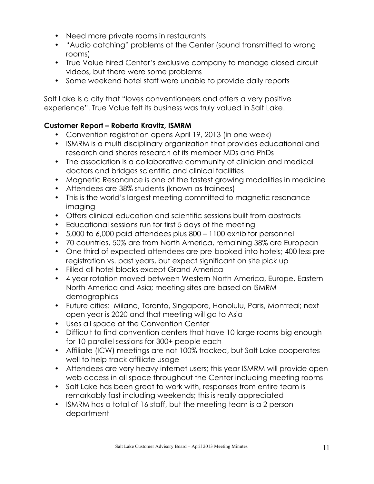- Need more private rooms in restaurants
- "Audio catching" problems at the Center (sound transmitted to wrong rooms)
- True Value hired Center's exclusive company to manage closed circuit videos, but there were some problems
- Some weekend hotel staff were unable to provide daily reports

Salt Lake is a city that "loves conventioneers and offers a very positive experience". True Value felt its business was truly valued in Salt Lake.

# **Customer Report – Roberta Kravitz, ISMRM**

- Convention registration opens April 19, 2013 (in one week)
- ISMRM is a multi disciplinary organization that provides educational and research and shares research of its member MDs and PhDs
- The association is a collaborative community of clinician and medical doctors and bridges scientific and clinical facilities
- Magnetic Resonance is one of the fastest growing modalities in medicine
- Attendees are 38% students (known as trainees)
- This is the world's largest meeting committed to magnetic resonance imaging
- Offers clinical education and scientific sessions built from abstracts
- Educational sessions run for first 5 days of the meeting
- 5,000 to 6,000 paid attendees plus 800 1100 exhibitor personnel
- 70 countries, 50% are from North America, remaining 38% are European
- One third of expected attendees are pre-booked into hotels; 400 less preregistration vs. past years, but expect significant on site pick up
- Filled all hotel blocks except Grand America
- 4 year rotation moved between Western North America, Europe, Eastern North America and Asia; meeting sites are based on ISMRM demographics
- Future cities: Milano, Toronto, Singapore, Honolulu, Paris, Montreal; next open year is 2020 and that meeting will go to Asia
- Uses all space at the Convention Center
- Difficult to find convention centers that have 10 large rooms big enough for 10 parallel sessions for 300+ people each
- Affiliate (ICW) meetings are not 100% tracked, but Salt Lake cooperates well to help track affiliate usage
- Attendees are very heavy internet users; this year ISMRM will provide open web access in all space throughout the Center including meeting rooms
- Salt Lake has been great to work with, responses from entire team is remarkably fast including weekends; this is really appreciated
- ISMRM has a total of 16 staff, but the meeting team is a 2 person department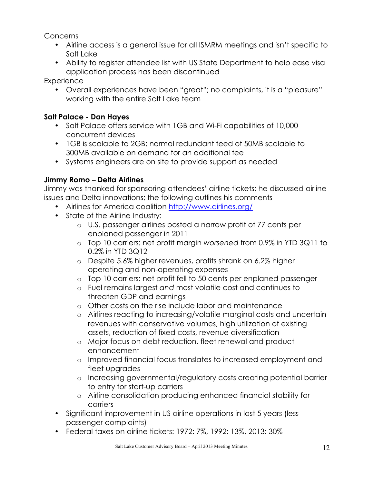Concerns

- Airline access is a general issue for all ISMRM meetings and isn't specific to Salt Lake
- Ability to register attendee list with US State Department to help ease visa application process has been discontinued

**Experience** 

• Overall experiences have been "great"; no complaints, it is a "pleasure" working with the entire Salt Lake team

# **Salt Palace - Dan Hayes**

- Salt Palace offers service with 1GB and Wi-Fi capabilities of 10,000 concurrent devices
- 1GB is scalable to 2GB; normal redundant feed of 50MB scalable to 300MB available on demand for an additional fee
- Systems engineers are on site to provide support as needed

# **Jimmy Romo – Delta Airlines**

Jimmy was thanked for sponsoring attendees' airline tickets; he discussed airline issues and Delta innovations; the following outlines his comments

- Airlines for America coalition http://www.airlines.org/
- State of the Airline Industry:
	- o U.S. passenger airlines posted a narrow profit of 77 cents per enplaned passenger in 2011
	- o Top 10 carriers: net profit margin *worsened* from 0.9% in YTD 3Q11 to 0.2% in YTD 3Q12
	- o Despite 5.6% higher revenues, profits shrank on 6.2% higher operating and non-operating expenses
	- o Top 10 carriers: net profit fell to 50 cents per enplaned passenger
	- o Fuel remains largest *and* most volatile cost and continues to threaten GDP and earnings
	- o Other costs on the rise include labor and maintenance
	- o Airlines reacting to increasing/volatile marginal costs and uncertain revenues with conservative volumes, high utilization of existing assets, reduction of fixed costs, revenue diversification
	- o Major focus on debt reduction, fleet renewal and product enhancement
	- o Improved financial focus translates to increased employment and fleet upgrades
	- o Increasing governmental/regulatory costs creating potential barrier to entry for start-up carriers
	- o Airline consolidation producing enhanced financial stability for carriers
- Significant improvement in US airline operations in last 5 years (less passenger complaints)
- Federal taxes on airline tickets: 1972: 7%, 1992: 13%, 2013: 30%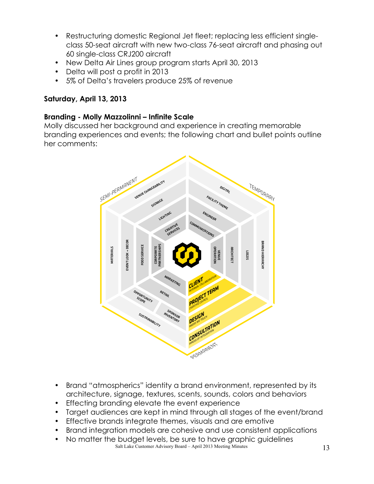- Restructuring domestic Regional Jet fleet; replacing less efficient singleclass 50-seat aircraft with new two-class 76-seat aircraft and phasing out 60 single-class CRJ200 aircraft
- New Delta Air Lines group program starts April 30, 2013
- Delta will post a profit in 2013
- 5% of Delta's travelers produce 25% of revenue

### **Saturday, April 13, 2013**

#### **Branding - Molly Mazzolinni – Infinite Scale**

Molly discussed her background and experience in creating memorable branding experiences and events; the following chart and bullet points outline her comments:



- Brand "atmospherics" identity a brand environment, represented by its architecture, signage, textures, scents, sounds, colors and behaviors
- Effecting branding elevate the event experience
- Target audiences are kept in mind through all stages of the event/brand
- Effective brands integrate themes, visuals and are emotive
- Brand integration models are cohesive and use consistent applications
- Salt Lake Customer Advisory Board April 2013 Meeting Minutes 13 • No matter the budget levels, be sure to have graphic guidelines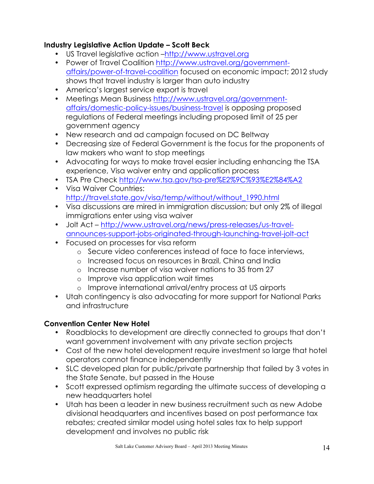# **Industry Legislative Action Update – Scott Beck**

- US Travel legislative action –http://www.ustravel.org
- Power of Travel Coalition http://www.ustravel.org/governmentaffairs/power-of-travel-coalition focused on economic impact; 2012 study shows that travel industry is larger than auto industry
- America's largest service export is travel
- Meetings Mean Business http://www.ustravel.org/governmentaffairs/domestic-policy-issues/business-travel is opposing proposed regulations of Federal meetings including proposed limit of 25 per government agency
- New research and ad campaign focused on DC Beltway
- Decreasing size of Federal Government is the focus for the proponents of law makers who want to stop meetings
- Advocating for ways to make travel easier including enhancing the TSA experience, Visa waiver entry and application process
- TSA Pre Check http://www.tsa.gov/tsa-pre%E2%9C%93%E2%84%A2
- Visa Waiver Countries: http://travel.state.gov/visa/temp/without/without\_1990.html
- Visa discussions are mired in immigration discussion; but only 2% of illegal immigrations enter using visa waiver
- Jolt Act http://www.ustravel.org/news/press-releases/us-travelannounces-support-jobs-originated-through-launching-travel-jolt-act
- Focused on processes for visa reform
	- o Secure video conferences instead of face to face interviews,
	- o Increased focus on resources in Brazil, China and India
	- o Increase number of visa waiver nations to 35 from 27
	- o Improve visa application wait times
	- o Improve international arrival/entry process at US airports
- Utah contingency is also advocating for more support for National Parks and infrastructure

# **Convention Center New Hotel**

- Roadblocks to development are directly connected to groups that don't want government involvement with any private section projects
- Cost of the new hotel development require investment so large that hotel operators cannot finance independently
- SLC developed plan for public/private partnership that failed by 3 votes in the State Senate, but passed in the House
- Scott expressed optimism regarding the ultimate success of developing a new headquarters hotel
- Utah has been a leader in new business recruitment such as new Adobe divisional headquarters and incentives based on post performance tax rebates; created similar model using hotel sales tax to help support development and involves no public risk